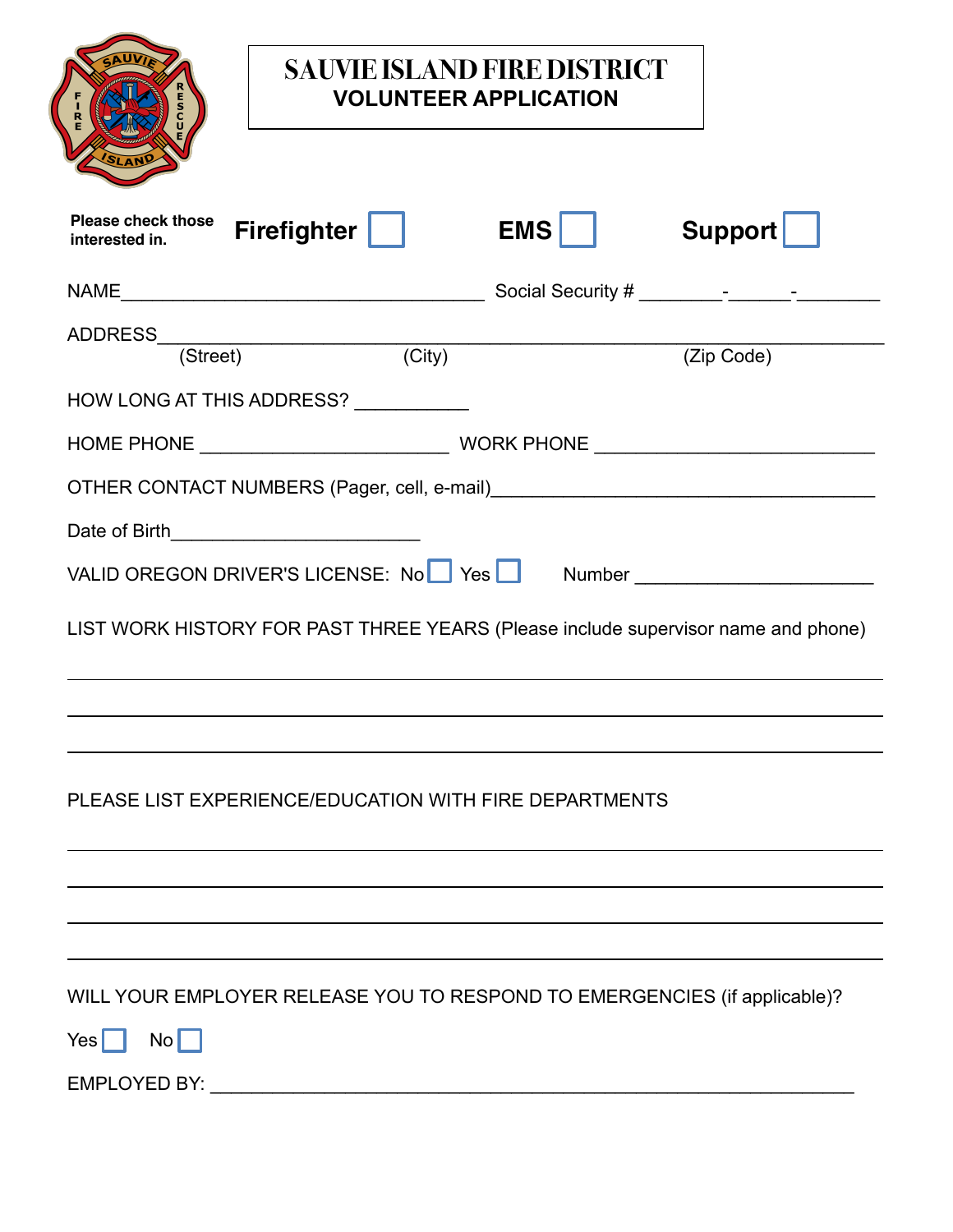|                                             |                                                        | <b>SAUVIE ISLAND FIRE DISTRICT</b><br><b>VOLUNTEER APPLICATION</b> |                                                                                   |
|---------------------------------------------|--------------------------------------------------------|--------------------------------------------------------------------|-----------------------------------------------------------------------------------|
| <b>Please check those</b><br>interested in. | <b>Firefighter</b>                                     | <b>EMS</b>                                                         | <b>Support</b>                                                                    |
|                                             |                                                        |                                                                    |                                                                                   |
|                                             | $\overline{(City)}$                                    |                                                                    | (Zip Code)                                                                        |
|                                             | HOW LONG AT THIS ADDRESS? ___________                  |                                                                    |                                                                                   |
|                                             |                                                        |                                                                    |                                                                                   |
|                                             |                                                        |                                                                    |                                                                                   |
| Date of Birth <b>Exercise 2008</b>          |                                                        |                                                                    |                                                                                   |
|                                             | VALID OREGON DRIVER'S LICENSE: No Yes                  |                                                                    |                                                                                   |
|                                             |                                                        |                                                                    | LIST WORK HISTORY FOR PAST THREE YEARS (Please include supervisor name and phone) |
|                                             |                                                        |                                                                    |                                                                                   |
|                                             | PLEASE LIST EXPERIENCE/EDUCATION WITH FIRE DEPARTMENTS |                                                                    |                                                                                   |
|                                             |                                                        |                                                                    |                                                                                   |
|                                             |                                                        |                                                                    | WILL YOUR EMPLOYER RELEASE YOU TO RESPOND TO EMERGENCIES (if applicable)?         |
| $\mathsf{No} \Box$<br>$Yes$                 |                                                        |                                                                    |                                                                                   |
|                                             |                                                        |                                                                    |                                                                                   |